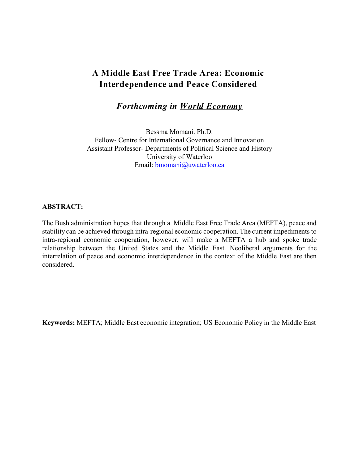# **A Middle East Free Trade Area: Economic Interdependence and Peace Considered**

*Forthcoming in World Economy*

Bessma Momani. Ph.D. Fellow- Centre for International Governance and Innovation Assistant Professor- Departments of Political Science and History University of Waterloo Email: [bmomani@uwaterloo.ca](mailto:bmomani@uwaterloo.ca)

#### **ABSTRACT:**

The Bush administration hopes that through a Middle East Free Trade Area (MEFTA), peace and stability can be achieved through intra-regional economic cooperation. The current impediments to intra-regional economic cooperation, however, will make a MEFTA a hub and spoke trade relationship between the United States and the Middle East. Neoliberal arguments for the interrelation of peace and economic interdependence in the context of the Middle East are then considered.

**Keywords:** MEFTA; Middle East economic integration; US Economic Policy in the Middle East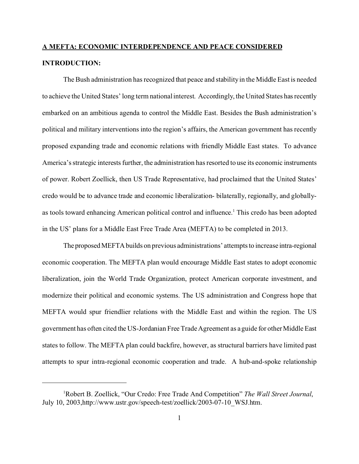# **A MEFTA: ECONOMIC INTERDEPENDENCE AND PEACE CONSIDERED INTRODUCTION:**

The Bush administration has recognized that peace and stability in the Middle East is needed to achieve the United States' long term national interest. Accordingly, the United States has recently embarked on an ambitious agenda to control the Middle East. Besides the Bush administration's political and military interventions into the region's affairs, the American government has recently proposed expanding trade and economic relations with friendly Middle East states. To advance America's strategic interests further, the administration has resorted to use its economic instruments of power. Robert Zoellick, then US Trade Representative, had proclaimed that the United States' credo would be to advance trade and economic liberalization- bilaterally, regionally, and globallyas tools toward enhancing American political control and influence.<sup>1</sup> This credo has been adopted in the US' plans for a Middle East Free Trade Area (MEFTA) to be completed in 2013.

The proposedMEFTAbuilds on previous administrations' attempts to increase intra-regional economic cooperation. The MEFTA plan would encourage Middle East states to adopt economic liberalization, join the World Trade Organization, protect American corporate investment, and modernize their political and economic systems. The US administration and Congress hope that MEFTA would spur friendlier relations with the Middle East and within the region. The US government has often cited the US-Jordanian Free Trade Agreement as a guide for other Middle East states to follow. The MEFTA plan could backfire, however, as structural barriers have limited past attempts to spur intra-regional economic cooperation and trade. A hub-and-spoke relationship

<sup>1</sup>Robert B. Zoellick, "Our Credo: Free Trade And Competition" *The Wall Street Journal*, July 10, 2003,http://www.ustr.gov/speech-test/zoellick/2003-07-10\_WSJ.htm.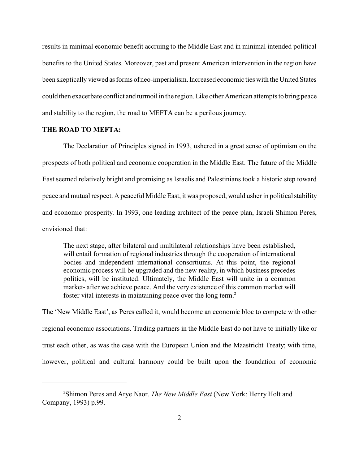results in minimal economic benefit accruing to the Middle East and in minimal intended political benefits to the United States. Moreover, past and present American intervention in the region have been skeptically viewed as forms of neo-imperialism. Increased economic ties with the United States could then exacerbate conflict and turmoil in the region. Like other American attempts to bring peace and stability to the region, the road to MEFTA can be a perilous journey.

#### **THE ROAD TO MEFTA:**

The Declaration of Principles signed in 1993, ushered in a great sense of optimism on the prospects of both political and economic cooperation in the Middle East. The future of the Middle East seemed relatively bright and promising as Israelis and Palestinians took a historic step toward peace and mutual respect. A peaceful Middle East, it was proposed, would usher in political stability and economic prosperity. In 1993, one leading architect of the peace plan, Israeli Shimon Peres, envisioned that:

The next stage, after bilateral and multilateral relationships have been established, will entail formation of regional industries through the cooperation of international bodies and independent international consortiums. At this point, the regional economic process will be upgraded and the new reality, in which business precedes politics, will be instituted. Ultimately, the Middle East will unite in a common market- after we achieve peace. And the very existence of this common market will foster vital interests in maintaining peace over the long term.<sup>2</sup>

The 'New Middle East', as Peres called it, would become an economic bloc to compete with other regional economic associations. Trading partners in the Middle East do not have to initially like or trust each other, as was the case with the European Union and the Maastricht Treaty; with time, however, political and cultural harmony could be built upon the foundation of economic

<sup>2</sup>Shimon Peres and Arye Naor. *The New Middle East* (New York: Henry Holt and Company, 1993) p.99.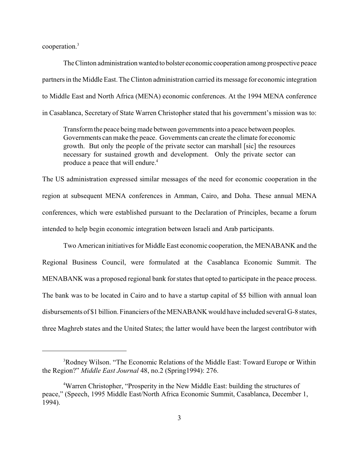cooperation.<sup>3</sup>

The Clinton administrationwanted to bolster economiccooperation among prospective peace partners in the Middle East. The Clinton administration carried its message for economic integration to Middle East and North Africa (MENA) economic conferences. At the 1994 MENA conference in Casablanca, Secretary of State Warren Christopher stated that his government's mission was to:

Transform the peace being made between governments into a peace between peoples. Governments can make the peace. Governments can create the climate for economic growth. But only the people of the private sector can marshall [sic] the resources necessary for sustained growth and development. Only the private sector can produce a peace that will endure.<sup>4</sup>

The US administration expressed similar messages of the need for economic cooperation in the region at subsequent MENA conferences in Amman, Cairo, and Doha. These annual MENA conferences, which were established pursuant to the Declaration of Principles, became a forum intended to help begin economic integration between Israeli and Arab participants.

Two American initiatives for Middle East economic cooperation, the MENABANK and the Regional Business Council, were formulated at the Casablanca Economic Summit. The MENABANK was a proposed regional bank for states that opted to participate in the peace process. The bank was to be located in Cairo and to have a startup capital of \$5 billion with annual loan disbursements of \$1 billion. Financiers of the MENABANK would have included several G-8 states, three Maghreb states and the United States; the latter would have been the largest contributor with

<sup>3</sup>Rodney Wilson. "The Economic Relations of the Middle East: Toward Europe or Within the Region?" *Middle East Journal* 48, no.2 (Spring1994): 276.

<sup>4</sup>Warren Christopher, "Prosperity in the New Middle East: building the structures of peace," (Speech, 1995 Middle East/North Africa Economic Summit, Casablanca, December 1, 1994).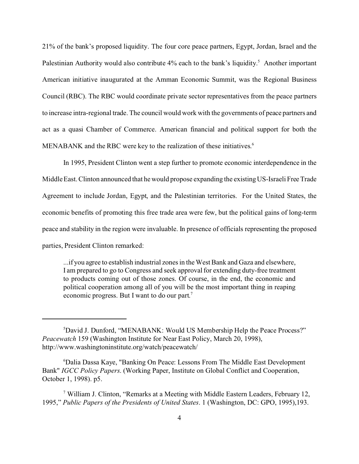21% of the bank's proposed liquidity. The four core peace partners, Egypt, Jordan, Israel and the Palestinian Authority would also contribute 4% each to the bank's liquidity.<sup>5</sup> Another important American initiative inaugurated at the Amman Economic Summit, was the Regional Business Council (RBC). The RBC would coordinate private sector representatives from the peace partners to increase intra-regional trade. The council would work with the governments of peace partners and act as a quasi Chamber of Commerce. American financial and political support for both the MENABANK and the RBC were key to the realization of these initiatives. 6

In 1995, President Clinton went a step further to promote economic interdependence in the Middle East. Clinton announced that he would propose expanding the existing US-Israeli Free Trade Agreement to include Jordan, Egypt, and the Palestinian territories. For the United States, the economic benefits of promoting this free trade area were few, but the political gains of long-term peace and stability in the region were invaluable. In presence of officials representing the proposed parties, President Clinton remarked:

...if you agree to establish industrial zones in the West Bank and Gaza and elsewhere, I am prepared to go to Congress and seek approval for extending duty-free treatment to products coming out of those zones. Of course, in the end, the economic and political cooperation among all of you will be the most important thing in reaping economic progress. But I want to do our part.<sup>7</sup>

<sup>&</sup>lt;sup>5</sup>David J. Dunford, "MENABANK: Would US Membership Help the Peace Process?" *Peacewatch* 159 (Washington Institute for Near East Policy, March 20, 1998), http://www.washingtoninstitute.org/watch/peacewatch/

<sup>6</sup>Dalia Dassa Kaye, "Banking On Peace: Lessons From The Middle East Development Bank" *IGCC Policy Papers*. (Working Paper, Institute on Global Conflict and Cooperation, October 1, 1998). p5.

<sup>&</sup>lt;sup>7</sup> William J. Clinton, "Remarks at a Meeting with Middle Eastern Leaders, February 12, 1995," *Public Papers of the Presidents of United States*. 1 (Washington, DC: GPO, 1995),193.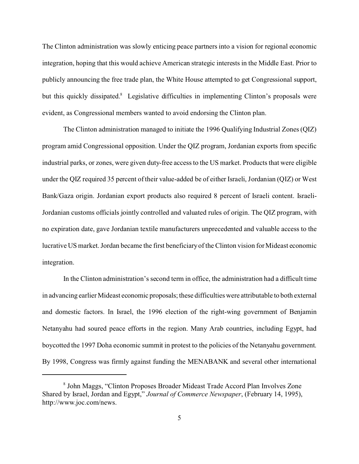The Clinton administration was slowly enticing peace partners into a vision for regional economic integration, hoping that this would achieve American strategic interests in the Middle East. Prior to publicly announcing the free trade plan, the White House attempted to get Congressional support, but this quickly dissipated.<sup>8</sup> Legislative difficulties in implementing Clinton's proposals were evident, as Congressional members wanted to avoid endorsing the Clinton plan.

The Clinton administration managed to initiate the 1996 Qualifying Industrial Zones (QIZ) program amid Congressional opposition. Under the QIZ program, Jordanian exports from specific industrial parks, or zones, were given duty-free access to the US market. Products that were eligible under the QIZ required 35 percent of their value-added be of either Israeli, Jordanian (QIZ) or West Bank/Gaza origin. Jordanian export products also required 8 percent of Israeli content. Israeli-Jordanian customs officials jointly controlled and valuated rules of origin. The QIZ program, with no expiration date, gave Jordanian textile manufacturers unprecedented and valuable access to the lucrative US market. Jordan became the first beneficiary of the Clinton vision for Mideast economic integration.

In the Clinton administration's second term in office, the administration had a difficult time in advancing earlier Mideast economic proposals; these difficulties were attributable to both external and domestic factors. In Israel, the 1996 election of the right-wing government of Benjamin Netanyahu had soured peace efforts in the region. Many Arab countries, including Egypt, had boycotted the 1997 Doha economic summit in protest to the policies of the Netanyahu government. By 1998, Congress was firmly against funding the MENABANK and several other international

<sup>8</sup> John Maggs, "Clinton Proposes Broader Mideast Trade Accord Plan Involves Zone Shared by Israel, Jordan and Egypt," *Journal of Commerce Newspaper*, (February 14, 1995), http://www.joc.com/news.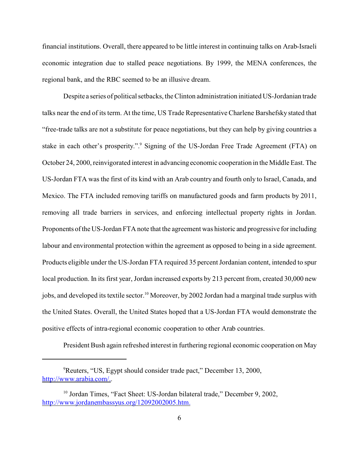financial institutions. Overall, there appeared to be little interest in continuing talks on Arab-Israeli economic integration due to stalled peace negotiations. By 1999, the MENA conferences, the regional bank, and the RBC seemed to be an illusive dream.

Despite a series of political setbacks, the Clinton administration initiated US-Jordanian trade talks near the end of its term. At the time, US Trade Representative Charlene Barshefsky stated that "free-trade talks are not a substitute for peace negotiations, but they can help by giving countries a stake in each other's prosperity.".<sup>9</sup> Signing of the US-Jordan Free Trade Agreement (FTA) on October 24, 2000, reinvigorated interest in advancing economic cooperation in the Middle East. The US-Jordan FTA was the first of its kind with an Arab country and fourth only to Israel, Canada, and Mexico. The FTA included removing tariffs on manufactured goods and farm products by 2011, removing all trade barriers in services, and enforcing intellectual property rights in Jordan. Proponents of the US-Jordan FTA note that the agreement was historic and progressive for including labour and environmental protection within the agreement as opposed to being in a side agreement. Products eligible under the US-Jordan FTA required 35 percent Jordanian content, intended to spur local production. In its first year, Jordan increased exports by 213 percent from, created 30,000 new jobs, and developed its textile sector.<sup>10</sup> Moreover, by 2002 Jordan had a marginal trade surplus with the United States. Overall, the United States hoped that a US-Jordan FTA would demonstrate the positive effects of intra-regional economic cooperation to other Arab countries.

President Bush again refreshed interest in furthering regional economic cooperation on May

<sup>9</sup>Reuters, "US, Egypt should consider trade pact," December 13, 2000, [http://www.arabia.com/.](http://<http://www.arabia.com>).

<sup>&</sup>lt;sup>10</sup> Jordan Times, "Fact Sheet: US-Jordan bilateral trade," December 9, 2002, <http://www.jordanembassyus.org/12092002005.htm.>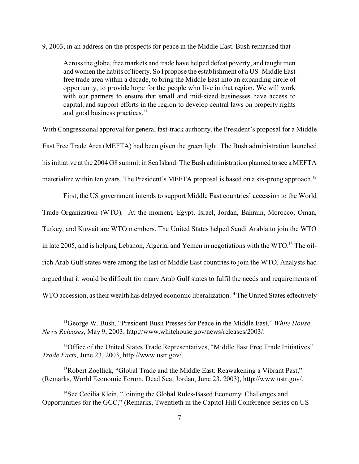#### 9, 2003, in an address on the prospects for peace in the Middle East. Bush remarked that

Across the globe, free markets and trade have helped defeat poverty, and taught men and women the habits of liberty. So I propose the establishment of a US -Middle East free trade area within a decade, to bring the Middle East into an expanding circle of opportunity, to provide hope for the people who live in that region. We will work with our partners to ensure that small and mid-sized businesses have access to capital, and support efforts in the region to develop central laws on property rights and good business practices. $11$ 

With Congressional approval for general fast-track authority, the President's proposal for a Middle East Free Trade Area (MEFTA) had been given the green light. The Bush administration launched his initiative at the 2004 G8 summit in Sea Island. The Bush administration planned to see a MEFTA materialize within ten years. The President's MEFTA proposal is based on a six-prong approach.<sup>12</sup>

First, the US government intends to support Middle East countries' accession to the World Trade Organization (WTO). At the moment, Egypt, Israel, Jordan, Bahrain, Morocco, Oman, Turkey, and Kuwait are WTO members. The United States helped Saudi Arabia to join the WTO in late 2005, and is helping Lebanon, Algeria, and Yemen in negotiations with the WTO.<sup>13</sup> The oilrich Arab Gulf states were among the last of Middle East countries to join the WTO. Analysts had argued that it would be difficult for many Arab Gulf states to fulfil the needs and requirements of WTO accession, as their wealth has delayed economic liberalization.<sup>14</sup> The United States effectively

<sup>11</sup>George W. Bush, "President Bush Presses for Peace in the Middle East," *White House News Releases*, May 9, 2003, http://www.whitehouse.gov/news/releases/2003/.

 $12$ Office of the United States Trade Representatives, "Middle East Free Trade Initiatives" *Trade Facts*, June 23, 2003, http://www.ustr.gov/.

<sup>&</sup>lt;sup>13</sup>Robert Zoellick, "Global Trade and the Middle East: Reawakening a Vibrant Past," (Remarks, World Economic Forum, Dead Sea, Jordan, June 23, 2003), http://www.ustr.gov/.

<sup>&</sup>lt;sup>14</sup>See Cecilia Klein, "Joining the Global Rules-Based Economy: Challenges and Opportunities for the GCC," (Remarks, Twentieth in the Capitol Hill Conference Series on US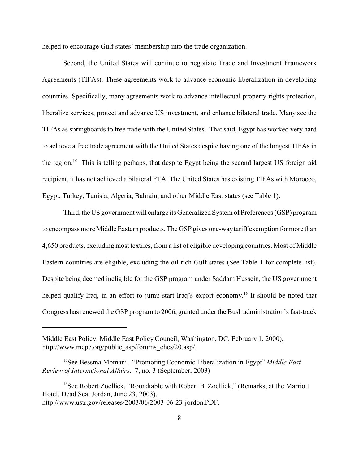helped to encourage Gulf states' membership into the trade organization.

Second, the United States will continue to negotiate Trade and Investment Framework Agreements (TIFAs). These agreements work to advance economic liberalization in developing countries. Specifically, many agreements work to advance intellectual property rights protection, liberalize services, protect and advance US investment, and enhance bilateral trade. Many see the TIFAs as springboards to free trade with the United States. That said, Egypt has worked very hard to achieve a free trade agreement with the United States despite having one of the longest TIFAs in the region.<sup>15</sup> This is telling perhaps, that despite Egypt being the second largest US foreign aid recipient, it has not achieved a bilateral FTA. The United States has existing TIFAs with Morocco, Egypt, Turkey, Tunisia, Algeria, Bahrain, and other Middle East states (see Table 1).

Third, the US government will enlarge its Generalized System of Preferences (GSP) program to encompass more Middle Eastern products. The GSP gives one-way tariff exemption for more than 4,650 products, excluding most textiles, from a list of eligible developing countries. Most of Middle Eastern countries are eligible, excluding the oil-rich Gulf states (See Table 1 for complete list). Despite being deemed ineligible for the GSP program under Saddam Hussein, the US government helped qualify Iraq, in an effort to jump-start Iraq's export economy.<sup>16</sup> It should be noted that Congress has renewed the GSP program to 2006, granted under the Bush administration's fast-track

Middle East Policy, Middle East Policy Council, Washington, DC, February 1, 2000), http://www.mepc.org/public\_asp/forums\_chcs/20.asp/.

<sup>15</sup>See Bessma Momani. "Promoting Economic Liberalization in Egypt" *Middle East Review of International Affairs*. 7, no. 3 (September, 2003)

<sup>&</sup>lt;sup>16</sup>See Robert Zoellick, "Roundtable with Robert B. Zoellick," (Remarks, at the Marriott Hotel, Dead Sea, Jordan, June 23, 2003), http://www.ustr.gov/releases/2003/06/2003-06-23-jordon.PDF.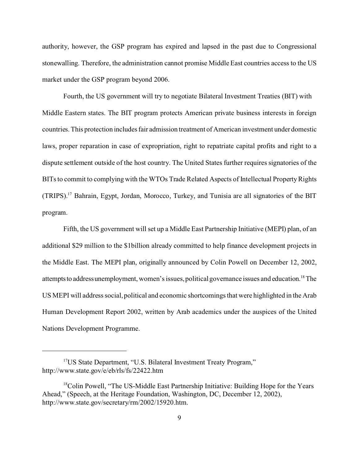authority, however, the GSP program has expired and lapsed in the past due to Congressional stonewalling. Therefore, the administration cannot promise Middle East countries access to the US market under the GSP program beyond 2006.

Fourth, the US government will try to negotiate Bilateral Investment Treaties (BIT) with Middle Eastern states. The BIT program protects American private business interests in foreign countries. This protection includes fair admission treatment of American investment under domestic laws, proper reparation in case of expropriation, right to repatriate capital profits and right to a dispute settlement outside of the host country. The United States further requires signatories of the BITs to commit to complying with the WTOs Trade Related Aspects of Intellectual Property Rights (TRIPS).<sup>17</sup> Bahrain, Egypt, Jordan, Morocco, Turkey, and Tunisia are all signatories of the BIT program.

Fifth, the US government will set up a Middle East Partnership Initiative (MEPI) plan, of an additional \$29 million to the \$1billion already committed to help finance development projects in the Middle East. The MEPI plan, originally announced by Colin Powell on December 12, 2002, attempts to address unemployment, women's issues, political governance issues and education.<sup>18</sup> The US MEPI will address social, political and economic shortcomings that were highlighted in the Arab Human Development Report 2002, written by Arab academics under the auspices of the United Nations Development Programme.

<sup>&</sup>lt;sup>17</sup>US State Department, "U.S. Bilateral Investment Treaty Program," http://www.state.gov/e/eb/rls/fs/22422.htm

<sup>&</sup>lt;sup>18</sup>Colin Powell, "The US-Middle East Partnership Initiative: Building Hope for the Years Ahead," (Speech, at the Heritage Foundation, Washington, DC, December 12, 2002), http://www.state.gov/secretary/rm/2002/15920.htm.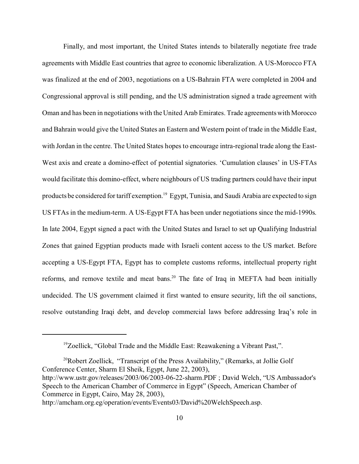Finally, and most important, the United States intends to bilaterally negotiate free trade agreements with Middle East countries that agree to economic liberalization. A US-Morocco FTA was finalized at the end of 2003, negotiations on a US-Bahrain FTA were completed in 2004 and Congressional approval is still pending, and the US administration signed a trade agreement with Oman and has been in negotiations with the United Arab Emirates. Trade agreements with Morocco and Bahrain would give the United States an Eastern and Western point of trade in the Middle East, with Jordan in the centre. The United States hopes to encourage intra-regional trade along the East-West axis and create a domino-effect of potential signatories. 'Cumulation clauses' in US-FTAs would facilitate this domino-effect, where neighbours of US trading partners could have their input products be considered for tariff exemption.<sup>19</sup> Egypt, Tunisia, and Saudi Arabia are expected to sign US FTAs in the medium-term. A US-Egypt FTA has been under negotiations since the mid-1990s. In late 2004, Egypt signed a pact with the United States and Israel to set up Qualifying Industrial Zones that gained Egyptian products made with Israeli content access to the US market. Before accepting a US-Egypt FTA, Egypt has to complete customs reforms, intellectual property right reforms, and remove textile and meat bans.<sup>20</sup> The fate of Iraq in MEFTA had been initially undecided. The US government claimed it first wanted to ensure security, lift the oil sanctions, resolve outstanding Iraqi debt, and develop commercial laws before addressing Iraq's role in

<sup>20</sup>Robert Zoellick, "Transcript of the Press Availability," (Remarks, at Jollie Golf Conference Center, Sharm El Sheik, Egypt, June 22, 2003), http://www.ustr.gov/releases/2003/06/2003-06-22-sharm.PDF ; David Welch, "US Ambassador's Speech to the American Chamber of Commerce in Egypt" (Speech, American Chamber of Commerce in Egypt, Cairo, May 28, 2003),

<sup>&</sup>lt;sup>19</sup>Zoellick, "Global Trade and the Middle East: Reawakening a Vibrant Past,".

http://amcham.org.eg/operation/events/Events03/David%20WelchSpeech.asp.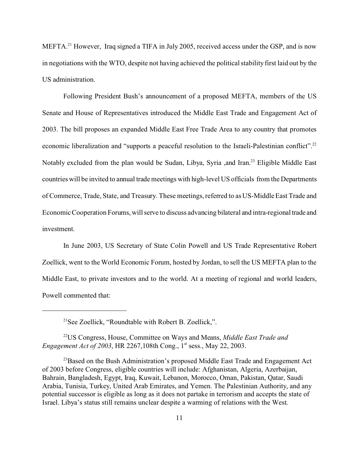MEFTA.<sup>21</sup> However, Iraq signed a TIFA in July 2005, received access under the GSP, and is now in negotiations with the WTO, despite not having achieved the political stability first laid out by the US administration.

Following President Bush's announcement of a proposed MEFTA, members of the US Senate and House of Representatives introduced the Middle East Trade and Engagement Act of 2003. The bill proposes an expanded Middle East Free Trade Area to any country that promotes economic liberalization and "supports a peaceful resolution to the Israeli-Palestinian conflict".<sup>22</sup> Notably excluded from the plan would be Sudan, Libya, Syria ,and Iran.<sup>23</sup> Eligible Middle East countries will be invited to annual trade meetings with high-level US officials from the Departments of Commerce, Trade, State, and Treasury. These meetings, referred to as US-Middle East Trade and Economic Cooperation Forums, will serve to discuss advancing bilateral and intra-regional trade and investment.

In June 2003, US Secretary of State Colin Powell and US Trade Representative Robert Zoellick, went to the World Economic Forum, hosted by Jordan, to sell the US MEFTA plan to the Middle East, to private investors and to the world. At a meeting of regional and world leaders, Powell commented that:

<sup>22</sup>US Congress, House, Committee on Ways and Means, *Middle East Trade and Engagement Act of 2003*, HR 2267,108th Cong., 1<sup>st</sup> sess., May 22, 2003.

<sup>21</sup>See Zoellick, "Roundtable with Robert B. Zoellick,".

 $^{23}$ Based on the Bush Administration's proposed Middle East Trade and Engagement Act of 2003 before Congress, eligible countries will include: Afghanistan, Algeria, Azerbaijan, Bahrain, Bangladesh, Egypt, Iraq, Kuwait, Lebanon, Morocco, Oman, Pakistan, Qatar, Saudi Arabia, Tunisia, Turkey, United Arab Emirates, and Yemen. The Palestinian Authority, and any potential successor is eligible as long as it does not partake in terrorism and accepts the state of Israel. Libya's status still remains unclear despite a warming of relations with the West.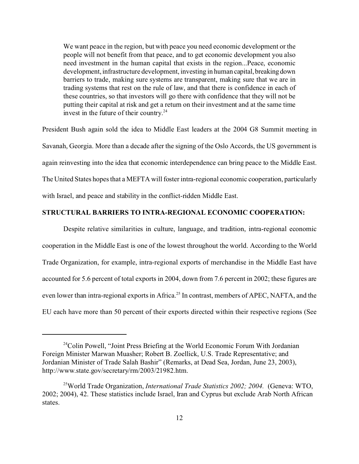We want peace in the region, but with peace you need economic development or the people will not benefit from that peace, and to get economic development you also need investment in the human capital that exists in the region...Peace, economic development, infrastructure development, investing in human capital, breaking down barriers to trade, making sure systems are transparent, making sure that we are in trading systems that rest on the rule of law, and that there is confidence in each of these countries, so that investors will go there with confidence that they will not be putting their capital at risk and get a return on their investment and at the same time invest in the future of their country. $24$ 

President Bush again sold the idea to Middle East leaders at the 2004 G8 Summit meeting in Savanah, Georgia. More than a decade after the signing of the Oslo Accords, the US government is again reinvesting into the idea that economic interdependence can bring peace to the Middle East. The United States hopes that a MEFTA will foster intra-regional economic cooperation, particularly with Israel, and peace and stability in the conflict-ridden Middle East.

### **STRUCTURAL BARRIERS TO INTRA-REGIONAL ECONOMIC COOPERATION:**

Despite relative similarities in culture, language, and tradition, intra-regional economic cooperation in the Middle East is one of the lowest throughout the world. According to the World Trade Organization, for example, intra-regional exports of merchandise in the Middle East have accounted for 5.6 percent of total exports in 2004, down from 7.6 percent in 2002; these figures are even lower than intra-regional exports in Africa.<sup>25</sup> In contrast, members of APEC, NAFTA, and the EU each have more than 50 percent of their exports directed within their respective regions (See

 $24$ Colin Powell, "Joint Press Briefing at the World Economic Forum With Jordanian Foreign Minister Marwan Muasher; Robert B. Zoellick, U.S. Trade Representative; and Jordanian Minister of Trade Salah Bashir" (Remarks, at Dead Sea, Jordan, June 23, 2003), http://www.state.gov/secretary/rm/2003/21982.htm.

<sup>25</sup>World Trade Organization, *International Trade Statistics 2002; 2004.* (Geneva: WTO, 2002; 2004), 42. These statistics include Israel, Iran and Cyprus but exclude Arab North African states.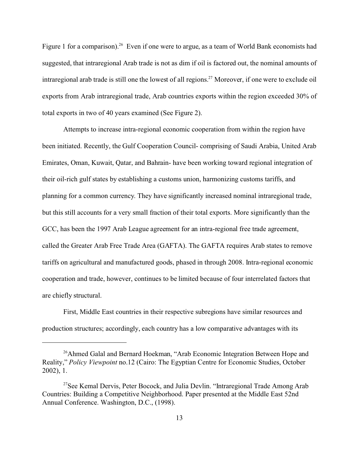Figure 1 for a comparison).<sup>26</sup> Even if one were to argue, as a team of World Bank economists had suggested, that intraregional Arab trade is not as dim if oil is factored out, the nominal amounts of intraregional arab trade is still one the lowest of all regions.<sup>27</sup> Moreover, if one were to exclude oil exports from Arab intraregional trade, Arab countries exports within the region exceeded 30% of total exports in two of 40 years examined (See Figure 2).

Attempts to increase intra-regional economic cooperation from within the region have been initiated. Recently, the Gulf Cooperation Council- comprising of Saudi Arabia, United Arab Emirates, Oman, Kuwait, Qatar, and Bahrain- have been working toward regional integration of their oil-rich gulf states by establishing a customs union, harmonizing customs tariffs, and planning for a common currency. They have significantly increased nominal intraregional trade, but this still accounts for a very small fraction of their total exports. More significantly than the GCC, has been the 1997 Arab League agreement for an intra-regional free trade agreement, called the Greater Arab Free Trade Area (GAFTA). The GAFTA requires Arab states to remove tariffs on agricultural and manufactured goods, phased in through 2008. Intra-regional economic cooperation and trade, however, continues to be limited because of four interrelated factors that are chiefly structural.

First, Middle East countries in their respective subregions have similar resources and production structures; accordingly, each country has a low comparative advantages with its

<sup>&</sup>lt;sup>26</sup>Ahmed Galal and Bernard Hoekman, "Arab Economic Integration Between Hope and Reality," *Policy Viewpoint* no.12 (Cairo: The Egyptian Centre for Economic Studies, October 2002), 1.

<sup>&</sup>lt;sup>27</sup>See Kemal Dervis, Peter Bocock, and Julia Devlin. "Intraregional Trade Among Arab Countries: Building a Competitive Neighborhood. Paper presented at the Middle East 52nd Annual Conference. Washington, D.C., (1998).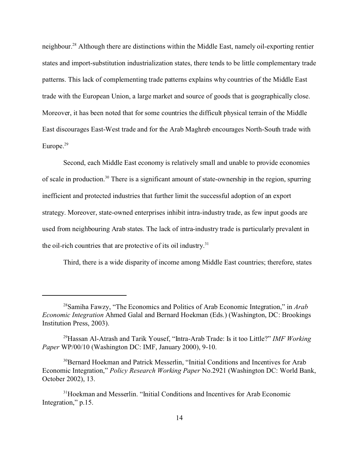neighbour.<sup>28</sup> Although there are distinctions within the Middle East, namely oil-exporting rentier states and import-substitution industrialization states, there tends to be little complementary trade patterns. This lack of complementing trade patterns explains why countries of the Middle East trade with the European Union, a large market and source of goods that is geographically close. Moreover, it has been noted that for some countries the difficult physical terrain of the Middle East discourages East-West trade and for the Arab Maghreb encourages North-South trade with Europe.<sup>29</sup>

Second, each Middle East economy is relatively small and unable to provide economies of scale in production.<sup>30</sup> There is a significant amount of state-ownership in the region, spurring inefficient and protected industries that further limit the successful adoption of an export strategy. Moreover, state-owned enterprises inhibit intra-industry trade, as few input goods are used from neighbouring Arab states. The lack of intra-industry trade is particularly prevalent in the oil-rich countries that are protective of its oil industry.<sup>31</sup>

Third, there is a wide disparity of income among Middle East countries; therefore, states

<sup>28</sup>Samiha Fawzy, "The Economics and Politics of Arab Economic Integration," in *Arab Economic Integration* Ahmed Galal and Bernard Hoekman (Eds.) (Washington, DC: Brookings Institution Press, 2003).

<sup>29</sup>Hassan Al-Atrash and Tarik Yousef, "Intra-Arab Trade: Is it too Little?" *IMF Working Paper* WP/00/10 (Washington DC: IMF, January 2000), 9-10.

<sup>&</sup>lt;sup>30</sup>Bernard Hoekman and Patrick Messerlin, "Initial Conditions and Incentives for Arab Economic Integration," *Policy Research Working Paper* No.2921 (Washington DC: World Bank, October 2002), 13.

<sup>&</sup>lt;sup>31</sup>Hoekman and Messerlin. "Initial Conditions and Incentives for Arab Economic Integration," p.15.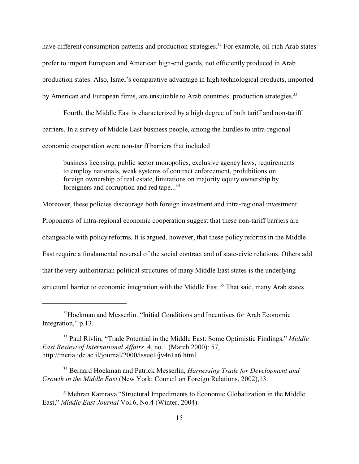have different consumption patterns and production strategies.<sup>32</sup> For example, oil-rich Arab states prefer to import European and American high-end goods, not efficiently produced in Arab production states. Also, Israel's comparative advantage in high technological products, imported by American and European firms, are unsuitable to Arab countries' production strategies.<sup>33</sup>

Fourth, the Middle East is characterized by a high degree of both tariff and non-tariff barriers. In a survey of Middle East business people, among the hurdles to intra-regional economic cooperation were non-tariff barriers that included

business licensing, public sector monopolies, exclusive agency laws, requirements to employ nationals, weak systems of contract enforcement, prohibitions on foreign ownership of real estate, limitations on majority equity ownership by foreigners and corruption and red tape...<sup>34</sup>

Moreover, these policies discourage both foreign investment and intra-regional investment.

Proponents of intra-regional economic cooperation suggest that these non-tariff barriers are

changeable with policy reforms. It is argued, however, that these policy reforms in the Middle

East require a fundamental reversal of the social contract and of state-civic relations. Others add

that the very authoritarian political structures of many Middle East states is the underlying

structural barrier to economic integration with the Middle East.<sup>35</sup> That said, many Arab states

<sup>32</sup>Hoekman and Messerlin. "Initial Conditions and Incentives for Arab Economic Integration," p.13.

<sup>33</sup> Paul Rivlin, "Trade Potential in the Middle East: Some Optimistic Findings," *Middle East Review of International Affairs*. 4, no.1 (March 2000): 57, http://meria.idc.ac.il/journal/2000/issue1/jv4n1a6.html.

<sup>34</sup> Bernard Hoekman and Patrick Messerlin, *Harnessing Trade for Development and Growth in the Middle East* (New York: Council on Foreign Relations, 2002),13.

<sup>&</sup>lt;sup>35</sup>Mehran Kamrava "Structural Impediments to Economic Globalization in the Middle East," *Middle East Journal* Vol.6, No.4 (Winter, 2004).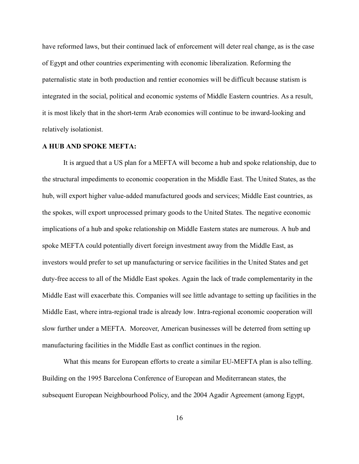have reformed laws, but their continued lack of enforcement will deter real change, as is the case of Egypt and other countries experimenting with economic liberalization. Reforming the paternalistic state in both production and rentier economies will be difficult because statism is integrated in the social, political and economic systems of Middle Eastern countries. As a result, it is most likely that in the short-term Arab economies will continue to be inward-looking and relatively isolationist.

#### **A HUB AND SPOKE MEFTA:**

It is argued that a US plan for a MEFTA will become a hub and spoke relationship, due to the structural impediments to economic cooperation in the Middle East. The United States, as the hub, will export higher value-added manufactured goods and services; Middle East countries, as the spokes, will export unprocessed primary goods to the United States. The negative economic implications of a hub and spoke relationship on Middle Eastern states are numerous. A hub and spoke MEFTA could potentially divert foreign investment away from the Middle East, as investors would prefer to set up manufacturing or service facilities in the United States and get duty-free access to all of the Middle East spokes. Again the lack of trade complementarity in the Middle East will exacerbate this. Companies will see little advantage to setting up facilities in the Middle East, where intra-regional trade is already low. Intra-regional economic cooperation will slow further under a MEFTA. Moreover, American businesses will be deterred from setting up manufacturing facilities in the Middle East as conflict continues in the region.

What this means for European efforts to create a similar EU-MEFTA plan is also telling. Building on the 1995 Barcelona Conference of European and Mediterranean states, the subsequent European Neighbourhood Policy, and the 2004 Agadir Agreement (among Egypt,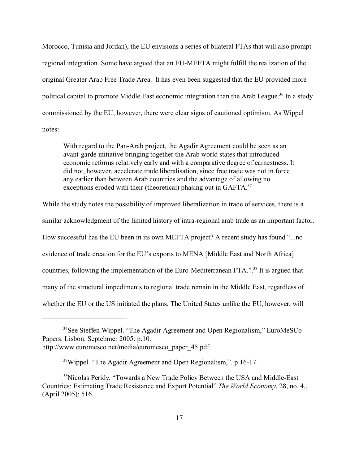Morocco, Tunisia and Jordan), the EU envisions a series of bilateral FTAs that will also prompt regional integration. Some have argued that an EU-MEFTA might fulfill the realization of the original Greater Arab Free Trade Area. It has even been suggested that the EU provided more political capital to promote Middle East economic integration than the Arab League.<sup>36</sup> In a study commissioned by the EU, however, there were clear signs of cautioned optimism. As Wippel notes:

With regard to the Pan-Arab project, the Agadir Agreement could be seen as an avant-garde initiative bringing together the Arab world states that introduced economic reforms relatively early and with a comparative degree of earnestness. It did not, however, accelerate trade liberalisation, since free trade was not in force any earlier than between Arab countries and the advantage of allowing no exceptions eroded with their (theoretical) phasing out in GAFTA.<sup>37</sup>

While the study notes the possibility of improved liberalization in trade of services, there is a similar acknowledgment of the limited history of intra-regional arab trade as an important factor. How successful has the EU been in its own MEFTA project? A recent study has found "...no evidence of trade creation for the EU's exports to MENA [Middle East and North Africa] countries, following the implementation of the Euro-Mediterranean FTA.".<sup>38</sup> It is argued that many of the structural impediments to regional trade remain in the Middle East, regardless of whether the EU or the US initiated the plans. The United States unlike the EU, however, will

<sup>&</sup>lt;sup>36</sup>See Steffen Wippel. "The Agadir Agreement and Open Regionalism," EuroMeSCo Papers. Lisbon. Septebmer 2005: p.10. http://www.euromesco.net/media/euromesco\_paper\_45.pdf

<sup>&</sup>lt;sup>37</sup>Wippel. "The Agadir Agreement and Open Regionalism,". p.16-17.

<sup>&</sup>lt;sup>38</sup>Nicolas Peridy. "Towards a New Trade Policy Between the USA and Middle-East Countries: Estimating Trade Resistance and Export Potential" *The World Economy*, 28, no. 4,, (April 2005): 516.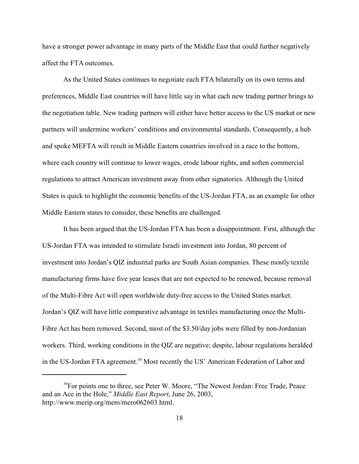have a stronger power advantage in many parts of the Middle East that could further negatively affect the FTA outcomes.

As the United States continues to negotiate each FTA bilaterally on its own terms and preferences, Middle East countries will have little say in what each new trading partner brings to the negotiation table. New trading partners will either have better access to the US market or new partners will undermine workers' conditions and environmental standards. Consequently, a hub and spoke MEFTA will result in Middle Eastern countries involved in a race to the bottom, where each country will continue to lower wages, erode labour rights, and soften commercial regulations to attract American investment away from other signatories. Although the United States is quick to highlight the economic benefits of the US-Jordan FTA, as an example for other Middle Eastern states to consider, these benefits are challenged.

It has been argued that the US-Jordan FTA has been a disappointment. First, although the US-Jordan FTA was intended to stimulate Israeli investment into Jordan, 80 percent of investment into Jordan's QIZ industrial parks are South Asian companies. These mostly textile manufacturing firms have five year leases that are not expected to be renewed, because removal of the Multi-Fibre Act will open worldwide duty-free access to the United States market. Jordan's QIZ will have little comparative advantage in textiles manufacturing once the Multi-Fibre Act has been removed. Second, most of the \$3.50/day jobs were filled by non-Jordanian workers. Third, working conditions in the QIZ are negative; despite, labour regulations heralded in the US-Jordan FTA agreement.<sup>39</sup> Most recently the US' American Federation of Labor and

<sup>&</sup>lt;sup>39</sup>For points one to three, see Peter W. Moore, "The Newest Jordan: Free Trade, Peace and an Ace in the Hole," *Middle East Report*, June 26, 2003, http://www.merip.org/mero/mero062603.html.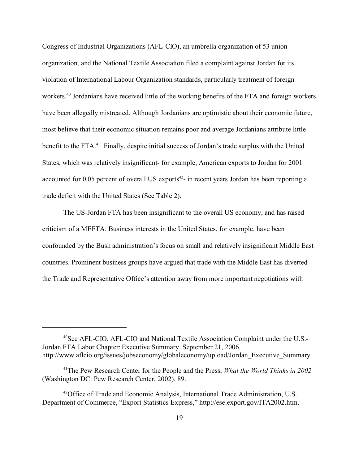Congress of Industrial Organizations (AFL-CIO), an umbrella organization of 53 union organization, and the National Textile Association filed a complaint against Jordan for its violation of International Labour Organization standards, particularly treatment of foreign workers.<sup>40</sup> Jordanians have received little of the working benefits of the FTA and foreign workers have been allegedly mistreated. Although Jordanians are optimistic about their economic future, most believe that their economic situation remains poor and average Jordanians attribute little benefit to the FTA.<sup>41</sup> Finally, despite initial success of Jordan's trade surplus with the United States, which was relatively insignificant- for example, American exports to Jordan for 2001 accounted for  $0.05$  percent of overall US exports<sup>42</sup>- in recent years Jordan has been reporting a trade deficit with the United States (See Table 2).

The US-Jordan FTA has been insignificant to the overall US economy, and has raised criticism of a MEFTA. Business interests in the United States, for example, have been confounded by the Bush administration's focus on small and relatively insignificant Middle East countries. Prominent business groups have argued that trade with the Middle East has diverted the Trade and Representative Office's attention away from more important negotiations with

<sup>40</sup>See AFL-CIO. AFL-CIO and National Textile Association Complaint under the U.S.- Jordan FTA Labor Chapter: Executive Summary. September 21, 2006. http://www.aflcio.org/issues/jobseconomy/globaleconomy/upload/Jordan\_Executive\_Summary

<sup>41</sup>The Pew Research Center for the People and the Press, *What the World Thinks in 2002* (Washington DC: Pew Research Center, 2002), 89.

<sup>&</sup>lt;sup>42</sup>Office of Trade and Economic Analysis, International Trade Administration, U.S. Department of Commerce, "Export Statistics Express," http://ese.export.gov/ITA2002.htm.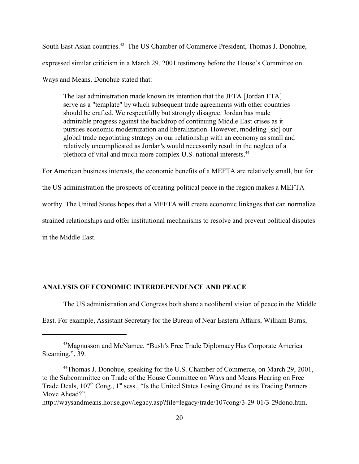South East Asian countries.<sup>43</sup> The US Chamber of Commerce President, Thomas J. Donohue, expressed similar criticism in a March 29, 2001 testimony before the House's Committee on Ways and Means. Donohue stated that:

The last administration made known its intention that the JFTA [Jordan FTA] serve as a "template" by which subsequent trade agreements with other countries should be crafted. We respectfully but strongly disagree. Jordan has made admirable progress against the backdrop of continuing Middle East crises as it pursues economic modernization and liberalization. However, modeling [sic] our global trade negotiating strategy on our relationship with an economy as small and relatively uncomplicated as Jordan's would necessarily result in the neglect of a plethora of vital and much more complex U.S. national interests.<sup>44</sup>

For American business interests, the economic benefits of a MEFTA are relatively small, but for the US administration the prospects of creating political peace in the region makes a MEFTA worthy. The United States hopes that a MEFTA will create economic linkages that can normalize strained relationships and offer institutional mechanisms to resolve and prevent political disputes in the Middle East.

#### **ANALYSIS OF ECONOMIC INTERDEPENDENCE AND PEACE**

The US administration and Congress both share a neoliberal vision of peace in the Middle

East. For example, Assistant Secretary for the Bureau of Near Eastern Affairs, William Burns,

<sup>&</sup>lt;sup>43</sup>Magnusson and McNamee, "Bush's Free Trade Diplomacy Has Corporate America Steaming,", 39.

<sup>&</sup>lt;sup>44</sup>Thomas J. Donohue, speaking for the U.S. Chamber of Commerce, on March 29, 2001, to the Subcommittee on Trade of the House Committee on Ways and Means Hearing on Free Trade Deals, 107<sup>th</sup> Cong., 1<sup>st</sup> sess., "Is the United States Losing Ground as its Trading Partners Move Ahead?",

http://waysandmeans.house.gov/legacy.asp?file=legacy/trade/107cong/3-29-01/3-29dono.htm.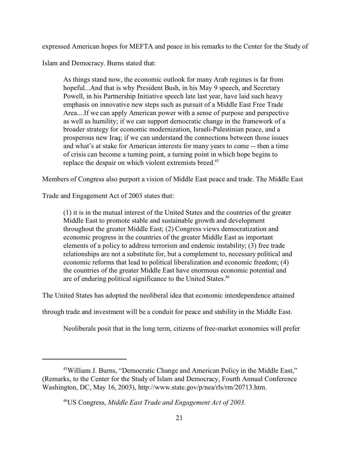expressed American hopes for MEFTA and peace in his remarks to the Center for the Study of

Islam and Democracy. Burns stated that:

As things stand now, the economic outlook for many Arab regimes is far from hopeful...And that is why President Bush, in his May 9 speech, and Secretary Powell, in his Partnership Initiative speech late last year, have laid such heavy emphasis on innovative new steps such as pursuit of a Middle East Free Trade Area....If we can apply American power with a sense of purpose and perspective as well as humility; if we can support democratic change in the framework of a broader strategy for economic modernization, Israeli-Palestinian peace, and a prosperous new Iraq; if we can understand the connections between those issues and what's at stake for American interests for many years to come -- then a time of crisis can become a turning point, a turning point in which hope begins to replace the despair on which violent extremists breed.<sup>45</sup>

Members of Congress also purport a vision of Middle East peace and trade. The Middle East

Trade and Engagement Act of 2003 states that:

(1) it is in the mutual interest of the United States and the countries of the greater Middle East to promote stable and sustainable growth and development throughout the greater Middle East; (2) Congress views democratization and economic progress in the countries of the greater Middle East as important elements of a policy to address terrorism and endemic instability; (3) free trade relationships are not a substitute for, but a complement to, necessary political and economic reforms that lead to political liberalization and economic freedom; (4) the countries of the greater Middle East have enormous economic potential and are of enduring political significance to the United States.<sup>46</sup>

The United States has adopted the neoliberal idea that economic interdependence attained

through trade and investment will be a conduit for peace and stability in the Middle East.

Neoliberals posit that in the long term, citizens of free-market economies will prefer

<sup>&</sup>lt;sup>45</sup>William J. Burns, "Democratic Change and American Policy in the Middle East," (Remarks, to the Center for the Study of Islam and Democracy, Fourth Annual Conference Washington, DC, May 16, 2003), http://www.state.gov/p/nea/rls/rm/20713.htm.

<sup>46</sup>US Congress, *Middle East Trade and Engagement Act of 2003.*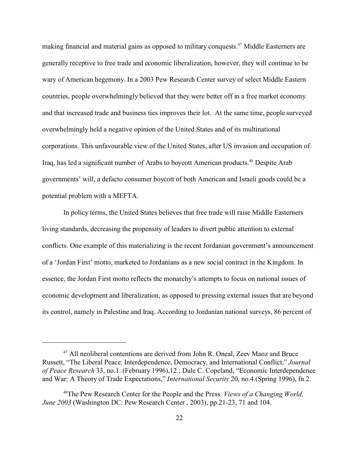making financial and material gains as opposed to military conquests.<sup>47</sup> Middle Easterners are generally receptive to free trade and economic liberalization, however, they will continue to be wary of American hegemony. In a 2003 Pew Research Center survey of select Middle Eastern countries, people overwhelmingly believed that they were better off in a free market economy and that increased trade and business ties improves their lot. At the same time, people surveyed overwhelmingly held a negative opinion of the United States and of its multinational corporations. This unfavourable view of the United States, after US invasion and occupation of Iraq, has led a significant number of Arabs to boycott American products.<sup>48</sup> Despite Arab governments' will, a defacto consumer boycott of both American and Israeli goods could be a potential problem with a MEFTA.

In policy terms, the United States believes that free trade will raise Middle Easterners living standards, decreasing the propensity of leaders to divert public attention to external conflicts. One example of this materializing is the recent Jordanian government's announcement of a 'Jordan First' motto, marketed to Jordanians as a new social contract in the Kingdom. In essence, the Jordan First motto reflects the monarchy's attempts to focus on national issues of economic development and liberalization, as opposed to pressing external issues that are beyond its control, namely in Palestine and Iraq. According to Jordanian national surveys, 86 percent of

<sup>&</sup>lt;sup>47</sup> All neoliberal contentions are derived from John R. Oneal, Zeev Maoz and Bruce Russett, "The Liberal Peace: Interdependence, Democracy, and International Conflict," *Journal of Peace Research* 33, no.1. (February 1996),12.; Dale C. Copeland, "Economic Interdependence and War: A Theory of Trade Expectations," *International Security* 20, no.4 (Spring 1996), fn.2.

<sup>48</sup>The Pew Research Center for the People and the Press. *Views of a Changing World, June 2003* (Washington DC: Pew Research Center , 2003), pp.21-23, 71 and 104.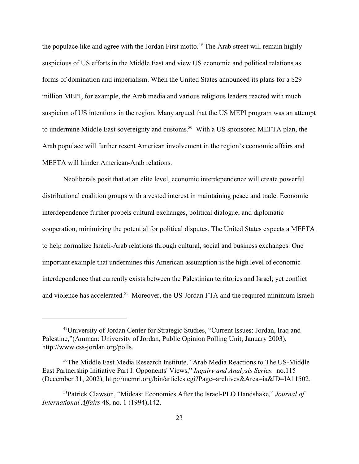the populace like and agree with the Jordan First motto.<sup>49</sup> The Arab street will remain highly suspicious of US efforts in the Middle East and view US economic and political relations as forms of domination and imperialism. When the United States announced its plans for a \$29 million MEPI, for example, the Arab media and various religious leaders reacted with much suspicion of US intentions in the region. Many argued that the US MEPI program was an attempt to undermine Middle East sovereignty and customs.<sup>50</sup> With a US sponsored MEFTA plan, the Arab populace will further resent American involvement in the region's economic affairs and MEFTA will hinder American-Arab relations.

Neoliberals posit that at an elite level, economic interdependence will create powerful distributional coalition groups with a vested interest in maintaining peace and trade. Economic interdependence further propels cultural exchanges, political dialogue, and diplomatic cooperation, minimizing the potential for political disputes. The United States expects a MEFTA to help normalize Israeli-Arab relations through cultural, social and business exchanges. One important example that undermines this American assumption is the high level of economic interdependence that currently exists between the Palestinian territories and Israel; yet conflict and violence has accelerated.<sup>51</sup> Moreover, the US-Jordan FTA and the required minimum Israeli

<sup>49</sup>University of Jordan Center for Strategic Studies, "Current Issues: Jordan, Iraq and Palestine,"(Amman: University of Jordan, Public Opinion Polling Unit, January 2003), http://www.css-jordan.org/polls.

<sup>50</sup>The Middle East Media Research Institute, "Arab Media Reactions to The US-Middle East Partnership Initiative Part I: Opponents' Views," *Inquiry and Analysis Series.* no.115 (December 31, 2002), http://memri.org/bin/articles.cgi?Page=archives&Area=ia&ID=IA11502.

<sup>51</sup>Patrick Clawson, "Mideast Economies After the Israel-PLO Handshake," *Journal of International Affairs* 48, no. 1 (1994),142.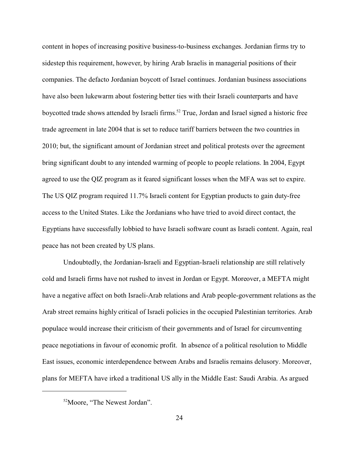content in hopes of increasing positive business-to-business exchanges. Jordanian firms try to sidestep this requirement, however, by hiring Arab Israelis in managerial positions of their companies. The defacto Jordanian boycott of Israel continues. Jordanian business associations have also been lukewarm about fostering better ties with their Israeli counterparts and have boycotted trade shows attended by Israeli firms.<sup>52</sup> True, Jordan and Israel signed a historic free trade agreement in late 2004 that is set to reduce tariff barriers between the two countries in 2010; but, the significant amount of Jordanian street and political protests over the agreement bring significant doubt to any intended warming of people to people relations. In 2004, Egypt agreed to use the QIZ program as it feared significant losses when the MFA was set to expire. The US QIZ program required 11.7% Israeli content for Egyptian products to gain duty-free access to the United States. Like the Jordanians who have tried to avoid direct contact, the Egyptians have successfully lobbied to have Israeli software count as Israeli content. Again, real peace has not been created by US plans.

Undoubtedly, the Jordanian-Israeli and Egyptian-Israeli relationship are still relatively cold and Israeli firms have not rushed to invest in Jordan or Egypt. Moreover, a MEFTA might have a negative affect on both Israeli-Arab relations and Arab people-government relations as the Arab street remains highly critical of Israeli policies in the occupied Palestinian territories. Arab populace would increase their criticism of their governments and of Israel for circumventing peace negotiations in favour of economic profit. In absence of a political resolution to Middle East issues, economic interdependence between Arabs and Israelis remains delusory. Moreover, plans for MEFTA have irked a traditional US ally in the Middle East: Saudi Arabia. As argued

<sup>52</sup>Moore, "The Newest Jordan".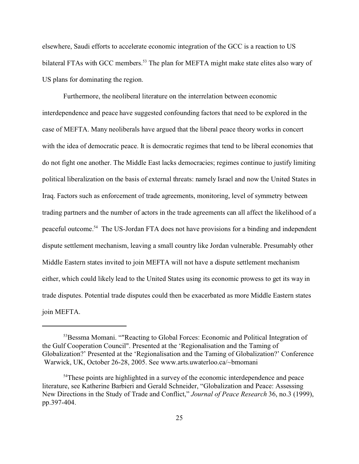elsewhere, Saudi efforts to accelerate economic integration of the GCC is a reaction to US bilateral FTAs with GCC members.<sup>53</sup> The plan for MEFTA might make state elites also wary of US plans for dominating the region.

Furthermore, the neoliberal literature on the interrelation between economic interdependence and peace have suggested confounding factors that need to be explored in the case of MEFTA. Many neoliberals have argued that the liberal peace theory works in concert with the idea of democratic peace. It is democratic regimes that tend to be liberal economies that do not fight one another. The Middle East lacks democracies; regimes continue to justify limiting political liberalization on the basis of external threats: namely Israel and now the United States in Iraq. Factors such as enforcement of trade agreements, monitoring, level of symmetry between trading partners and the number of actors in the trade agreements can all affect the likelihood of a peaceful outcome.<sup>54</sup> The US-Jordan FTA does not have provisions for a binding and independent dispute settlement mechanism, leaving a small country like Jordan vulnerable. Presumably other Middle Eastern states invited to join MEFTA will not have a dispute settlement mechanism either, which could likely lead to the United States using its economic prowess to get its way in trade disputes. Potential trade disputes could then be exacerbated as more Middle Eastern states join MEFTA.

<sup>53</sup>Bessma Momani. ""Reacting to Global Forces: Economic and Political Integration of the Gulf Cooperation Council". Presented at the 'Regionalisation and the Taming of Globalization?' Presented at the 'Regionalisation and the Taming of Globalization?' Conference Warwick, UK, October 26-28, 2005. See www.arts.uwaterloo.ca/~bmomani

<sup>&</sup>lt;sup>54</sup>These points are highlighted in a survey of the economic interdependence and peace literature, see Katherine Barbieri and Gerald Schneider, "Globalization and Peace: Assessing New Directions in the Study of Trade and Conflict," *Journal of Peace Research* 36, no.3 (1999), pp.397-404.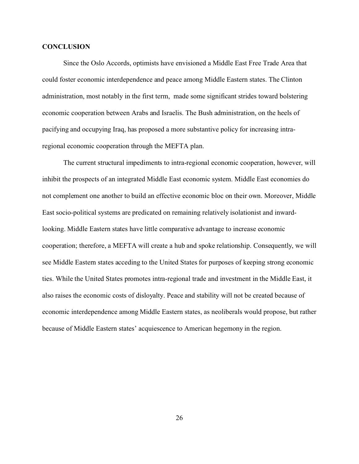#### **CONCLUSION**

Since the Oslo Accords, optimists have envisioned a Middle East Free Trade Area that could foster economic interdependence and peace among Middle Eastern states. The Clinton administration, most notably in the first term, made some significant strides toward bolstering economic cooperation between Arabs and Israelis. The Bush administration, on the heels of pacifying and occupying Iraq, has proposed a more substantive policy for increasing intraregional economic cooperation through the MEFTA plan.

The current structural impediments to intra-regional economic cooperation, however, will inhibit the prospects of an integrated Middle East economic system. Middle East economies do not complement one another to build an effective economic bloc on their own. Moreover, Middle East socio-political systems are predicated on remaining relatively isolationist and inwardlooking. Middle Eastern states have little comparative advantage to increase economic cooperation; therefore, a MEFTA will create a hub and spoke relationship. Consequently, we will see Middle Eastern states acceding to the United States for purposes of keeping strong economic ties. While the United States promotes intra-regional trade and investment in the Middle East, it also raises the economic costs of disloyalty. Peace and stability will not be created because of economic interdependence among Middle Eastern states, as neoliberals would propose, but rather because of Middle Eastern states' acquiescence to American hegemony in the region.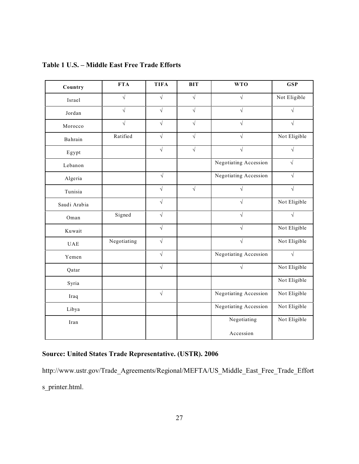| Country      | <b>FTA</b>  | <b>TIFA</b> | <b>BIT</b> | <b>WTO</b>            | <b>GSP</b>   |
|--------------|-------------|-------------|------------|-----------------------|--------------|
| Israel       |             |             |            |                       | Not Eligible |
| Jordan       |             |             |            |                       |              |
| Morocco      |             |             |            |                       |              |
| Bahrain      | Ratified    |             |            |                       | Not Eligible |
| Egypt        |             |             |            |                       |              |
| Lebanon      |             |             |            | Negotiating Accession |              |
| Algeria      |             |             |            | Negotiating Accession |              |
| Tunisia      |             |             |            |                       |              |
| Saudi Arabia |             |             |            |                       | Not Eligible |
| Oman         | Signed      |             |            |                       |              |
| Kuwait       |             |             |            |                       | Not Eligible |
| <b>UAE</b>   | Negotiating |             |            |                       | Not Eligible |
| Yemen        |             |             |            | Negotiating Accession |              |
| Qatar        |             |             |            |                       | Not Eligible |
| Syria        |             |             |            |                       | Not Eligible |
| Iraq         |             |             |            | Negotiating Accession | Not Eligible |
| Libya        |             |             |            | Negotiating Accession | Not Eligible |
| Iran         |             |             |            | Negotiating           | Not Eligible |
|              |             |             |            | Accession             |              |

## **Table 1 U.S. – Middle East Free Trade Efforts**

# **Source: United States Trade Representative. (USTR). 2006**

http://www.ustr.gov/Trade\_Agreements/Regional/MEFTA/US\_Middle\_East\_Free\_Trade\_Effort s\_printer.html.